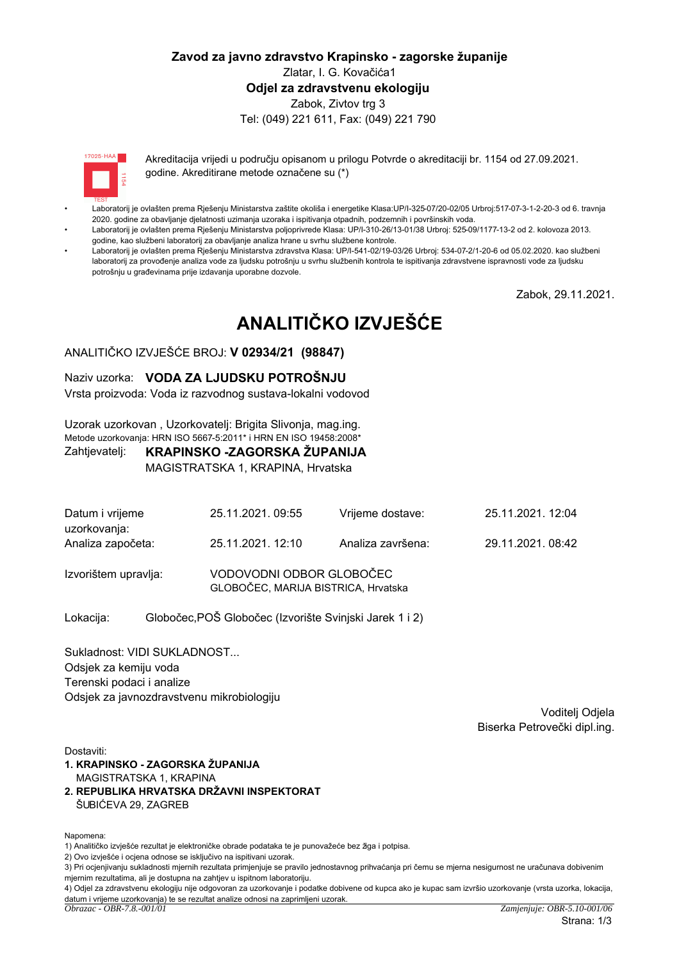## Zavod za javno zdravstvo Krapinsko - zagorske županije Zlatar, I. G. Kovačića1 Odiel za zdravstvenu ekologiju Zabok, Zivtov trg 3 Tel: (049) 221 611, Fax: (049) 221 790

 $17095 \cdot HAA$ 

Akreditacija vrijedi u područiu opisanom u prilogu Potvrde o akreditaciji br. 1154 od 27.09.2021. godine. Akreditirane metode označene su (\*)

- Laboratorij je ovlašten prema Rješenju Ministarstva zaštite okoliša i energetike Klasa:UP/l-325-07/20-02/05 Urbroj:517-07-3-1-2-20-3 od 6. travnja 2020. godine za obavljanje djelatnosti uzimanja uzoraka i ispitivanja otpadnih, podzemnih i površinskih voda.
- Laboratorij je ovlašten prema Rješenju Ministarstva poljoprivrede Klasa: UP/I-310-26/13-01/38 Urbroj: 525-09/1177-13-2 od 2. kolovoza 2013. godine, kao službeni laboratorij za obavljanje analiza hrane u svrhu službene kontrole.
- Laboratorij je ovlašten prema Rješenju Ministarstva zdravstva Klasa: UP/I-541-02/19-03/26 Urbroj: 534-07-2/1-20-6 od 05.02.2020. kao službeni laboratorij za provođenje analiza vode za ljudsku potrošnju u svrhu službenih kontrola te ispitivanja zdravstvene ispravnosti vode za ljudsku potrošniu u građevinama prije izdavanja uporabne dozvole.

Zabok, 29.11.2021.

# ANALITIČKO IZVJEŠĆE

## ANALITIČKO IZVJEŠĆE BROJ: V 02934/21 (98847)

### Naziv uzorka: VODA ZA LJUDSKU POTROŠNJU

Vrsta proizvoda: Voda iz razvodnog sustava-lokalni vodovod

Uzorak uzorkovan, Uzorkovateli: Brigita Slivonia, mag.ing. Metode uzorkovanja: HRN ISO 5667-5:2011\* i HRN EN ISO 19458:2008\*

#### KRAPINSKO -ZAGORSKA ŽUPANIJA Zahtjevatelj:

MAGISTRATSKA 1, KRAPINA, Hrvatska

| Datum i vrijeme<br>uzorkovanja: | 25.11.2021.09:55                                                | Vrijeme dostave:  | 25.11.2021.12:04 |
|---------------------------------|-----------------------------------------------------------------|-------------------|------------------|
| Analiza započeta:               | 25.11.2021.12:10                                                | Analiza završena: | 29.11.2021.08:42 |
| Izvorištem upravlja:            | VODOVODNI ODBOR GLOBOČEC<br>GLOBOČEC, MARIJA BISTRICA, Hrvatska |                   |                  |

Globočec, POŠ Globočec (Izvorište Svinjski Jarek 1 i 2) Lokacija:

Sukladnost: VIDI SUKLADNOST... Odsjek za kemiju voda Terenski podaci i analize Odsiek za javnozdravstvenu mikrobiologiju

> Voditeli Odiela Biserka Petrovečki dipl.ing.

Dostaviti:

- 1. KRAPINSKO ZAGORSKA ŽUPANIJA MAGISTRATSKA 1. KRAPINA
- 2. REPUBLIKA HRVATSKA DRŽAVNI INSPEKTORAT ŠUBIĆEVA 29, ZAGREB

Napomena:

1) Analitičko izviešće rezultat je elektroničke obrade podataka te je punovažeće bez žiga i potpisa.

2) Ovo izvješće i ocjena odnose se isključivo na ispitivani uzorak.

<sup>3)</sup> Pri ocjenjivanju sukladnosti mjernih rezultata primjenjuje se pravilo jednostavnog prihvaćanja pri čemu se mjerna nesigurnost ne uračunava dobivenim mjernim rezultatima, ali je dostupna na zahtjev u ispitnom laboratoriju.

<sup>4)</sup> Odjel za zdravstvenu ekologiju nije odgovoran za uzorkovanje i podatke dobivene od kupca ako je kupac sam izvršio uzorkovanje (vrsta uzorka, lokacija, datum i vrijeme uzorkovanja) te se rezultat analize odnosi na zaprimljeni uzorak.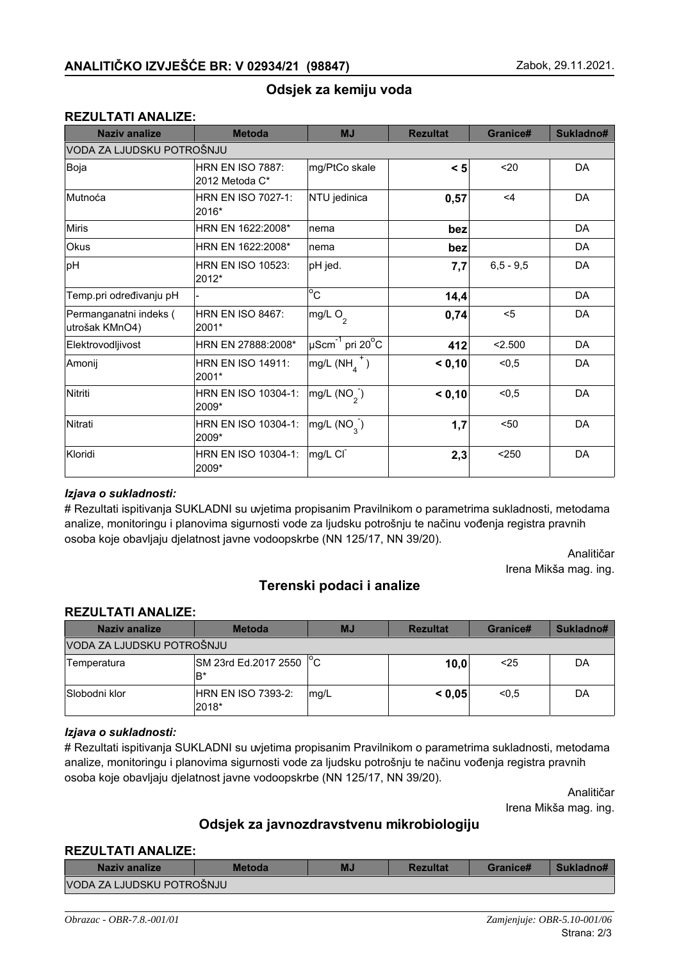## Odsjek za kemiju voda

## **REZULTATI ANALIZE:**

| <b>Naziv analize</b>                     | <b>Metoda</b>                             | <b>MJ</b>                             | <b>Rezultat</b> | Granice#    | Sukladno# |
|------------------------------------------|-------------------------------------------|---------------------------------------|-----------------|-------------|-----------|
| VODA ZA LJUDSKU POTROŠNJU                |                                           |                                       |                 |             |           |
| Boja                                     | <b>HRN EN ISO 7887:</b><br>2012 Metoda C* | mg/PtCo skale                         | < 5             | $20$        | DA        |
| Mutnoća                                  | <b>HRN EN ISO 7027-1:</b><br>2016*        | NTU jedinica                          | 0,57            | $\leq 4$    | DA        |
| <b>Miris</b>                             | HRN EN 1622:2008*                         | Inema                                 | bez             |             | DA        |
| Okus                                     | HRN EN 1622:2008*                         | nema                                  | bez             |             | DA        |
| pH                                       | <b>HRN EN ISO 10523:</b><br>2012*         | pH jed.                               | 7,7             | $6,5 - 9,5$ | DA        |
| Temp.pri određivanju pH                  |                                           | $\overline{c}$                        | 14,4            |             | DA        |
| Permanganatni indeks (<br>utrošak KMnO4) | <b>HRN EN ISO 8467:</b><br>2001*          | mg/L O <sub>2</sub>                   | 0,74            | $5$         | DA        |
| Elektrovodljivost                        | HRN EN 27888:2008*                        | $\mu$ Scm $^{-1}$ pri 20 $^{\circ}$ C | 412             | 2.500       | DA        |
| Amonij                                   | <b>HRN EN ISO 14911:</b><br>2001*         | $mg/L(NH4+)$                          | < 0,10          | < 0, 5      | DA        |
| Nitriti                                  | HRN EN ISO 10304-1:<br>2009*              | $mg/L(NO_2)$                          | < 0,10          | < 0, 5      | DA        |
| Nitrati                                  | HRN EN ISO 10304-1:<br>2009*              | $mg/L$ (NO <sub>3</sub> )             | 1,7             | $50$        | DA        |
| Kloridi                                  | HRN EN ISO 10304-1:<br>2009*              | mg/L CI                               | 2,3             | $250$       | DA        |

## lzjava o sukladnosti:

# Rezultati ispitivanja SUKLADNI su uvjetima propisanim Pravilnikom o parametrima sukladnosti, metodama analize, monitoringu i planovima sigurnosti vode za ljudsku potrošnju te načinu vođenja registra pravnih osoba koje obavljaju djelatnost javne vodoopskrbe (NN 125/17, NN 39/20).

> Analitičar Irena Mikša mag. ing.

## **Terenski podaci i analize**

### **REZULTATI ANALIZE:**

| Naziv analize             | <b>Metoda</b>                 | <b>MJ</b> | <b>Rezultat</b> | Granice# | Sukladno# |
|---------------------------|-------------------------------|-----------|-----------------|----------|-----------|
| VODA ZA LJUDSKU POTROŠNJU |                               |           |                 |          |           |
| Temperatura               | SM 23rd Ed.2017 2550 °C<br>B* |           | 10,0            | $25$     | DA        |
| Slobodni klor             | HRN EN ISO 7393-2:<br>2018*   | mg/L      | < 0.05          | < 0.5    | DA        |

#### *lzjava* o sukladnosti:

# Rezultati ispitivanja SUKLADNI su uvjetima propisanim Pravilnikom o parametrima sukladnosti, metodama analize, monitoringu i planovima sigurnosti vode za ljudsku potrošnju te načinu vođenja registra pravnih osoba koje obavljaju djelatnost javne vodoopskrbe (NN 125/17, NN 39/20).

> Analitičar Irena Mikša mag. ing.

## Odsjek za javnozdravstvenu mikrobiologiju

#### **REZULTATI ANALIZE:**

| Naziv analize             | <b>Metoda</b> | MJ | <b>Rezultat</b> | Granice# | Sukladno# |
|---------------------------|---------------|----|-----------------|----------|-----------|
| VODA ZA LJUDSKU POTROŠNJU |               |    |                 |          |           |